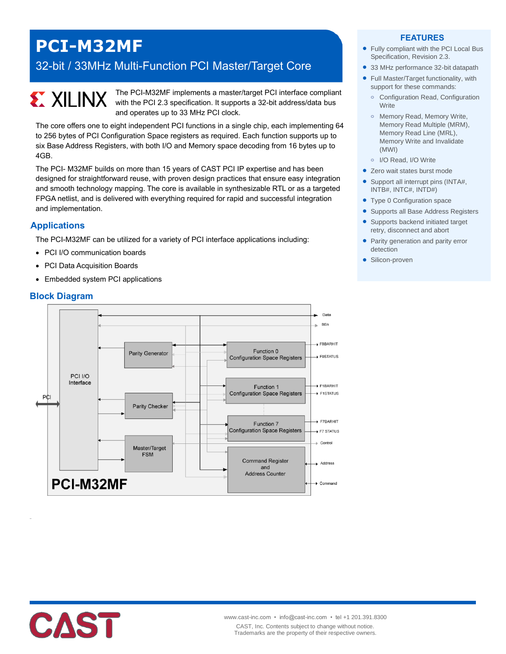## **PCI-M32MF**

### 32-bit / 33MHz Multi-Function PCI Master/Target Core

# **EX XILINX**

The PCI-M32MF implements a master/target PCI interface compliant with the PCI 2.3 specification. It supports a 32-bit address/data bus and operates up to 33 MHz PCI clock.

The core offers one to eight independent PCI functions in a single chip, each implementing 64 to 256 bytes of PCI Configuration Space registers as required. Each function supports up to six Base Address Registers, with both I/O and Memory space decoding from 16 bytes up to 4GB.

The PCI- M32MF builds on more than 15 years of CAST PCI IP expertise and has been designed for straightforward reuse, with proven design practices that ensure easy integration and smooth technology mapping. The core is available in synthesizable RTL or as a targeted FPGA netlist, and is delivered with everything required for rapid and successful integration and implementation.

#### **Applications**

The PCI-M32MF can be utilized for a variety of PCI interface applications including:

- PCI I/O communication boards
- PCI Data Acquisition Boards
- Embedded system PCI applications

#### **Block Diagram**



#### **FEATURES**

- Fully compliant with the PCI Local Bus Specification, Revision 2.3.
- 33 MHz performance 32-bit datapath
- Full Master/Target functionality, with support for these commands:
	- **o** Configuration Read, Configuration **Write**
	- **o** Memory Read, Memory Write, Memory Read Multiple (MRM), Memory Read Line (MRL), Memory Write and Invalidate (MWI)
- **o** I/O Read, I/O Write
- Zero wait states burst mode
- Support all interrupt pins (INTA#, INTB#, INTC#, INTD#)
- Type 0 Configuration space
- **Supports all Base Address Registers**
- Supports backend initiated target retry, disconnect and abort
- Parity generation and parity error detection
- **·** Silicon-proven